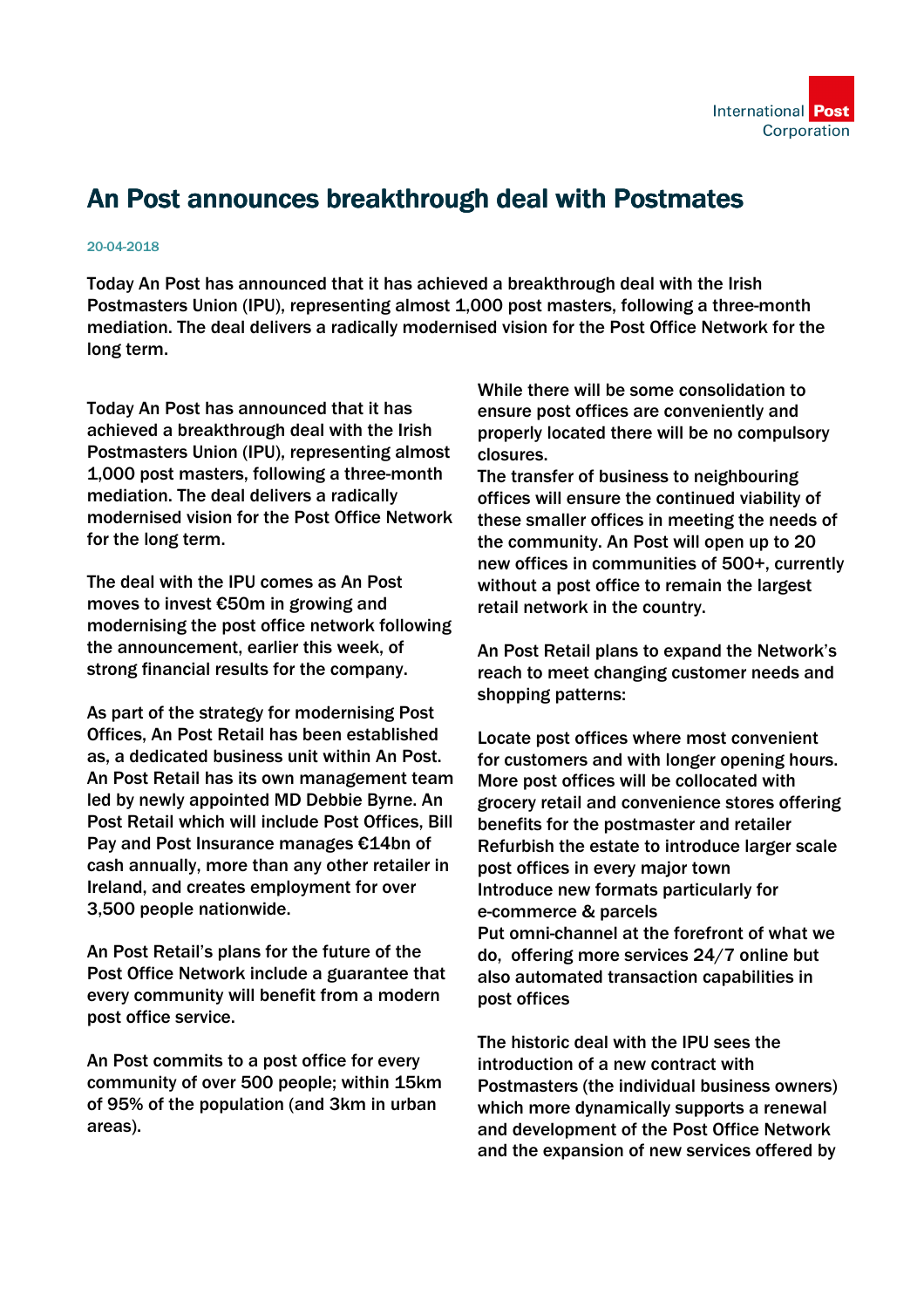

## An Post announces breakthrough deal with Postmates

## 20-04-2018

Today An Post has announced that it has achieved a breakthrough deal with the Irish Postmasters Union (IPU), representing almost 1,000 post masters, following a three-month mediation. The deal delivers a radically modernised vision for the Post Office Network for the long term.

Today An Post has announced that it has achieved a breakthrough deal with the Irish Postmasters Union (IPU), representing almost 1,000 post masters, following a three-month mediation. The deal delivers a radically modernised vision for the Post Office Network for the long term.

The deal with the IPU comes as An Post moves to invest €50m in growing and modernising the post office network following the announcement, earlier this week, of strong financial results for the company.

As part of the strategy for modernising Post Offices, An Post Retail has been established as, a dedicated business unit within An Post. An Post Retail has its own management team led by newly appointed MD Debbie Byrne. An Post Retail which will include Post Offices, Bill Pay and Post Insurance manages €14bn of cash annually, more than any other retailer in Ireland, and creates employment for over 3,500 people nationwide.

An Post Retail's plans for the future of the Post Office Network include a guarantee that every community will benefit from a modern post office service.

An Post commits to a post office for every community of over 500 people; within 15km of 95% of the population (and 3km in urban areas).

While there will be some consolidation to ensure post offices are conveniently and properly located there will be no compulsory closures.

The transfer of business to neighbouring offices will ensure the continued viability of these smaller offices in meeting the needs of the community. An Post will open up to 20 new offices in communities of 500+, currently without a post office to remain the largest retail network in the country.

An Post Retail plans to expand the Network's reach to meet changing customer needs and shopping patterns:

Locate post offices where most convenient for customers and with longer opening hours. More post offices will be collocated with grocery retail and convenience stores offering benefits for the postmaster and retailer Refurbish the estate to introduce larger scale post offices in every major town Introduce new formats particularly for e-commerce & parcels Put omni-channel at the forefront of what we do, offering more services 24/7 online but also automated transaction capabilities in post offices

The historic deal with the IPU sees the introduction of a new contract with Postmasters (the individual business owners) which more dynamically supports a renewal and development of the Post Office Network and the expansion of new services offered by